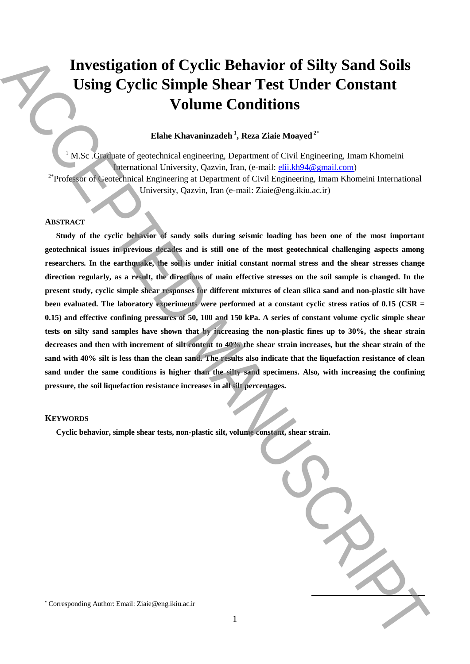# **Investigation of Cyclic Behavior of Silty Sand Soils Using Cyclic Simple Shear Test Under Constant Volume Conditions**

# **Elahe Khavaninzadeh <sup>1</sup> , Reza Ziaie Moayed <sup>2</sup>**\*

 $1$  M.Sc . Graduate of geotechnical engineering, Department of Civil Engineering, Imam Khomeini International University, Qazvin, Iran, (e-mail: elii.kh94@gmail.com) <sup>2\*</sup>Professor of Geotechnical Engineering at Department of Civil Engineering, Imam Khomeini International University, Qazvin, Iran (e-mail: Ziaie@eng.ikiu.ac.ir)

## **ABSTRACT**

**Study of the cyclic behavior of sandy soils during seismic loading has been one of the most important geotechnical issues in previous decades and is still one of the most geotechnical challenging aspects among researchers. In the earthquake, the soil is under initial constant normal stress and the shear stresses change direction regularly, as a result, the directions of main effective stresses on the soil sample is changed. In the present study, cyclic simple shear responses for different mixtures of clean silica sand and non-plastic silt have been evaluated. The laboratory experiments were performed at a constant cyclic stress ratios of 0.15 (CSR = 0.15) and effective confining pressures of 50, 100 and 150 kPa. A series of constant volume cyclic simple shear tests on silty sand samples have shown that by increasing the non-plastic fines up to 30%, the shear strain decreases and then with increment of silt content to 40% the shear strain increases, but the shear strain of the sand with 40% silt is less than the clean sand. The results also indicate that the liquefaction resistance of clean sand under the same conditions is higher than the silty sand specimens. Also, with increasing the confining pressure, the soil liquefaction resistance increases in all silt percentages.** Investigation of Cyclic Behavior of Silty Sand Soils<br>
Using Cyclic Simple Shear Test Under Constant<br>
Volume Conditions<br>
Volume Conditions<br>
Volume Conditions<br>
Volume Corresponding Authorities Corresponding Theoretical Stat

#### **KEYWORDS**

**Cyclic behavior, simple shear tests, non-plastic silt, volume constant, shear strain.**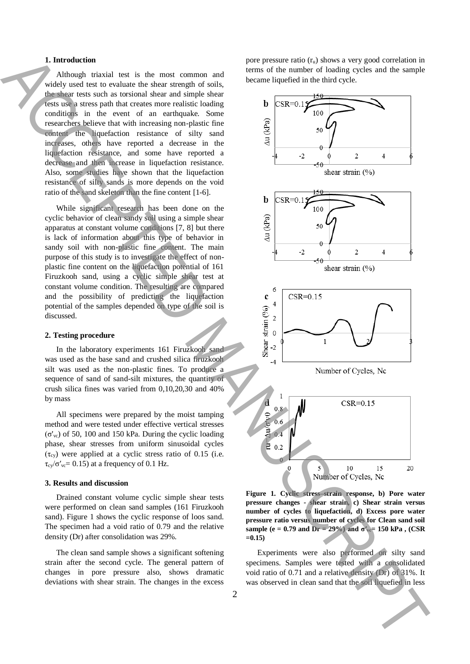### **1. Introduction**

Although triaxial test is the most common and widely used test to evaluate the shear strength of soils, the shear tests such as torsional shear and simple shear tests use a stress path that creates more realistic loading conditions in the event of an earthquake. Some researchers believe that with increasing non-plastic fine content the liquefaction resistance of silty sand increases, others have reported a decrease in the liquefaction resistance, and some have reported a decrease and then increase in liquefaction resistance. Also, some studies have shown that the liquefaction resistance of silty sands is more depends on the void ratio of the sand skeleton than the fine content [1-6].

While significant research has been done on the cyclic behavior of clean sandy soil using a simple shear apparatus at constant volume conditions [7, 8] but there is lack of information about this type of behavior in sandy soil with non-plastic fine content. The main purpose of this study is to investigate the effect of nonplastic fine content on the liquefaction potential of 161 Firuzkooh sand, using a cyclic simple shear test at constant volume condition. The resulting are compared and the possibility of predicting the liquefaction potential of the samples depended on type of the soil is discussed.

#### **2. Testing procedure**

In the laboratory experiments 161 Firuzkooh sand was used as the base sand and crushed silica firuzkooh silt was used as the non-plastic fines. To produce a sequence of sand of sand-silt mixtures, the quantity of crush silica fines was varied from 0,10,20,30 and 40% by mass

All specimens were prepared by the moist tamping method and were tested under effective vertical stresses (σ'vc) of 50, 100 and 150 kPa. During the cyclic loading phase, shear stresses from uniform sinusoidal cycles  $(\tau_{cv})$  were applied at a cyclic stress ratio of 0.15 (i.e.  $\tau_{\rm cv}/\sigma'_{\rm vc}$  = 0.15) at a frequency of 0.1 Hz.

#### **3. Results and discussion**

Drained constant volume cyclic simple shear tests were performed on clean sand samples (161 Firuzkooh sand). Figure 1 shows the cyclic response of loos sand. The specimen had a void ratio of 0.79 and the relative density (Dr) after consolidation was 29%.

The clean sand sample shows a significant softening strain after the second cycle. The general pattern of changes in pore pressure also, shows dramatic deviations with shear strain. The changes in the excess

pore pressure ratio  $(r_u)$  shows a very good correlation in terms of the number of loading cycles and the sample became liquefied in the third cycle.



**Figure 1. Cyclic stress–strain response, b) Pore water pressure changes - shear strain, c) Shear strain versus number of cycles to liquefaction, d) Excess pore water pressure ratio versus number of cycles for Clean sand soil sample (e = 0.79 and Dr = 29%) and**  $σ'_{vc}$  **= 150 kPa, (CSR =0.15)**

Experiments were also performed on silty sand specimens. Samples were tested with a consolidated void ratio of 0.71 and a relative density (Dr) of 31%. It